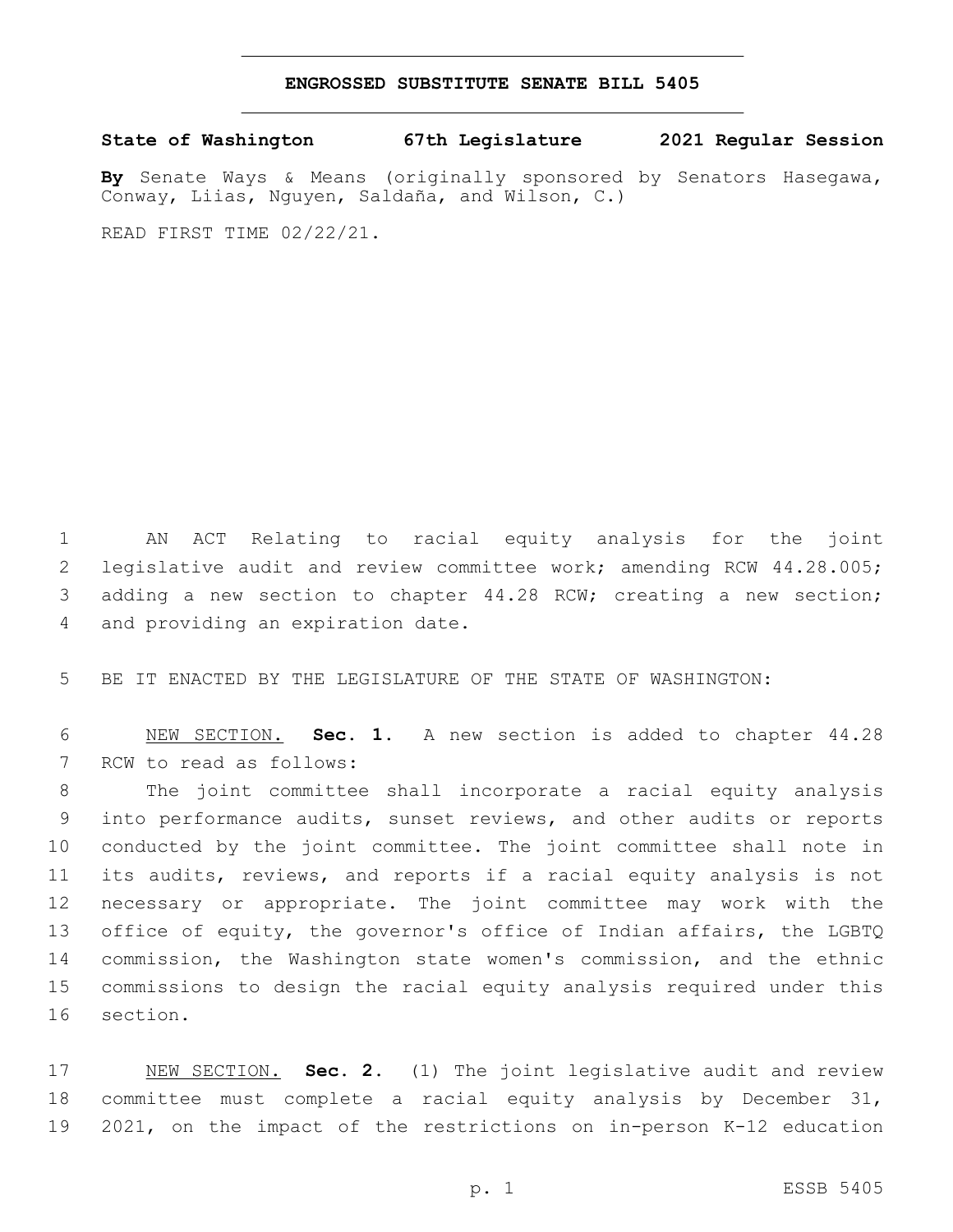## **ENGROSSED SUBSTITUTE SENATE BILL 5405**

**State of Washington 67th Legislature 2021 Regular Session**

**By** Senate Ways & Means (originally sponsored by Senators Hasegawa, Conway, Liias, Nguyen, Saldaña, and Wilson, C.)

READ FIRST TIME 02/22/21.

 AN ACT Relating to racial equity analysis for the joint legislative audit and review committee work; amending RCW 44.28.005; adding a new section to chapter 44.28 RCW; creating a new section; 4 and providing an expiration date.

5 BE IT ENACTED BY THE LEGISLATURE OF THE STATE OF WASHINGTON:

6 NEW SECTION. **Sec. 1.** A new section is added to chapter 44.28 7 RCW to read as follows:

 The joint committee shall incorporate a racial equity analysis into performance audits, sunset reviews, and other audits or reports conducted by the joint committee. The joint committee shall note in its audits, reviews, and reports if a racial equity analysis is not necessary or appropriate. The joint committee may work with the 13 office of equity, the governor's office of Indian affairs, the LGBTQ commission, the Washington state women's commission, and the ethnic commissions to design the racial equity analysis required under this 16 section.

17 NEW SECTION. **Sec. 2.** (1) The joint legislative audit and review 18 committee must complete a racial equity analysis by December 31, 19 2021, on the impact of the restrictions on in-person K-12 education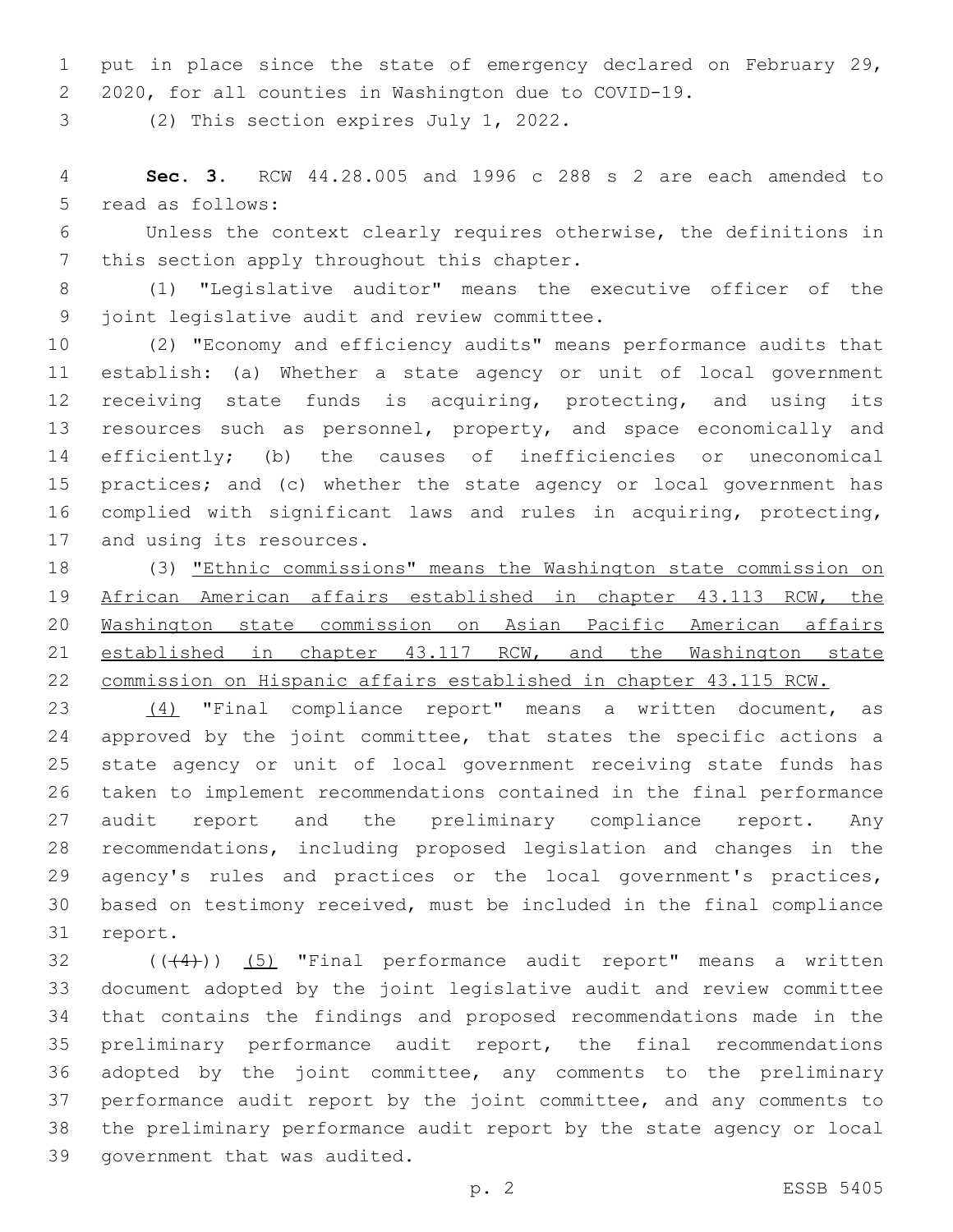1 put in place since the state of emergency declared on February 29, 2020, for all counties in Washington due to COVID-19.

3 (2) This section expires July 1, 2022.

 **Sec. 3.** RCW 44.28.005 and 1996 c 288 s 2 are each amended to 5 read as follows:

 Unless the context clearly requires otherwise, the definitions in 7 this section apply throughout this chapter.

 (1) "Legislative auditor" means the executive officer of the 9 joint legislative audit and review committee.

 (2) "Economy and efficiency audits" means performance audits that establish: (a) Whether a state agency or unit of local government receiving state funds is acquiring, protecting, and using its 13 resources such as personnel, property, and space economically and efficiently; (b) the causes of inefficiencies or uneconomical practices; and (c) whether the state agency or local government has complied with significant laws and rules in acquiring, protecting, 17 and using its resources.

 (3) "Ethnic commissions" means the Washington state commission on African American affairs established in chapter 43.113 RCW, the Washington state commission on Asian Pacific American affairs 21 established in chapter 43.117 RCW, and the Washington state commission on Hispanic affairs established in chapter 43.115 RCW.

 (4) "Final compliance report" means a written document, as 24 approved by the joint committee, that states the specific actions a state agency or unit of local government receiving state funds has taken to implement recommendations contained in the final performance 27 audit report and the preliminary compliance report. Any recommendations, including proposed legislation and changes in the 29 agency's rules and practices or the local government's practices, based on testimony received, must be included in the final compliance 31 report.

 ( $(44)$ )) (5) "Final performance audit report" means a written document adopted by the joint legislative audit and review committee that contains the findings and proposed recommendations made in the preliminary performance audit report, the final recommendations adopted by the joint committee, any comments to the preliminary performance audit report by the joint committee, and any comments to the preliminary performance audit report by the state agency or local 39 government that was audited.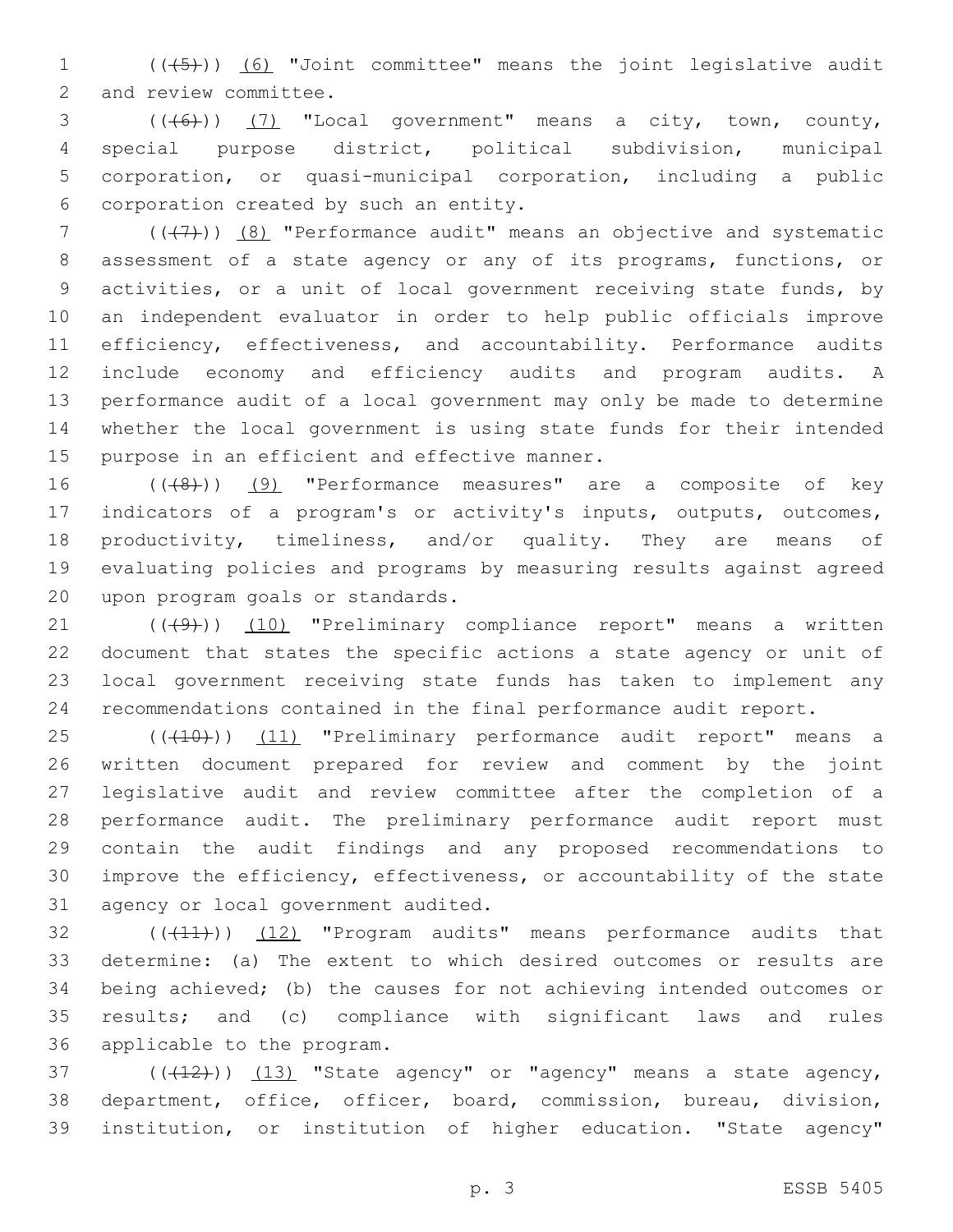1 (((45))) (6) "Joint committee" means the joint legislative audit 2 and review committee.

 ( $(\overline{6})$ ) (7) "Local government" means a city, town, county, special purpose district, political subdivision, municipal corporation, or quasi-municipal corporation, including a public corporation created by such an entity.6

 ( $(\overline{+7})$ ) (8) "Performance audit" means an objective and systematic assessment of a state agency or any of its programs, functions, or activities, or a unit of local government receiving state funds, by an independent evaluator in order to help public officials improve 11 efficiency, effectiveness, and accountability. Performance audits include economy and efficiency audits and program audits. A performance audit of a local government may only be made to determine whether the local government is using state funds for their intended 15 purpose in an efficient and effective manner.

16 (((8)) (9) "Performance measures" are a composite of key indicators of a program's or activity's inputs, outputs, outcomes, 18 productivity, timeliness, and/or quality. They are means of evaluating policies and programs by measuring results against agreed 20 upon program goals or standards.

21 ((+9)) (10) "Preliminary compliance report" means a written document that states the specific actions a state agency or unit of local government receiving state funds has taken to implement any recommendations contained in the final performance audit report.

25 (((10))) (11) "Preliminary performance audit report" means a written document prepared for review and comment by the joint legislative audit and review committee after the completion of a performance audit. The preliminary performance audit report must contain the audit findings and any proposed recommendations to improve the efficiency, effectiveness, or accountability of the state 31 agency or local government audited.

32 (((41))) (12) "Program audits" means performance audits that determine: (a) The extent to which desired outcomes or results are being achieved; (b) the causes for not achieving intended outcomes or results; and (c) compliance with significant laws and rules 36 applicable to the program.

 $(1, 12)$  ( $(1, 13)$  "State agency" or "agency" means a state agency, department, office, officer, board, commission, bureau, division, institution, or institution of higher education. "State agency"